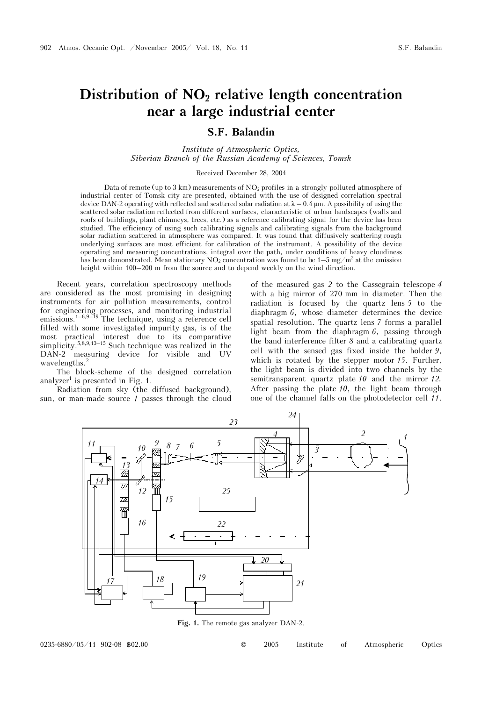# Distribution of NO<sub>2</sub> relative length concentration **near a large industrial center**

## **S.F. Balandin**

*Institute of Atmospheric Optics, Siberian Branch of the Russian Academy of Sciences, Tomsk* 

#### Received December 28, 2004

Data of remote (up to 3 km) measurements of NO<sub>2</sub> profiles in a strongly polluted atmosphere of industrial center of Tomsk city are presented, obtained with the use of designed correlation spectral device DAN-2 operating with reflected and scattered solar radiation at  $\lambda = 0.4$  μm. A possibility of using the scattered solar radiation reflected from different surfaces, characteristic of urban landscapes (walls and roofs of buildings, plant chimneys, trees, etc.) as a reference calibrating signal for the device has been studied. The efficiency of using such calibrating signals and calibrating signals from the background solar radiation scattered in atmosphere was compared. It was found that diffusively scattering rough underlying surfaces are most efficient for calibration of the instrument. A possibility of the device operating and measuring concentrations, integral over the path, under conditions of heavy cloudiness has been demonstrated. Mean stationary  $NO_2$  concentration was found to be  $1-5$  mg/m<sup>3</sup> at the emission height within 100–200 m from the source and to depend weekly on the wind direction.

Recent years, correlation spectroscopy methods are considered as the most promising in designing instruments for air pollution measurements, control for engineering processes, and monitoring industrial emissions.<sup>1–6,9–19</sup> The technique, using a reference cell filled with some investigated impurity gas, is of the most practical interest due to its comparative simplicity.<sup>5,8,9,13–15</sup> Such technique was realized in the DAN-2 measuring device for visible and UV wavelengths.<sup>2</sup>

The block-scheme of the designed correlation analyzer<sup>1</sup> is presented in Fig. 1.

Radiation from sky (the diffused background), sun, or man-made source *1* passes through the cloud

of the measured gas *2* to the Cassegrain telescope *4* with a big mirror of 270 mm in diameter. Then the radiation is focused by the quartz lens *5* to the diaphragm *6*, whose diameter determines the device spatial resolution. The quartz lens *7* forms a parallel light beam from the diaphragm *6*, passing through the band interference filter *8* and a calibrating quartz cell with the sensed gas fixed inside the holder *9*, which is rotated by the stepper motor *15*. Further, the light beam is divided into two channels by the semitransparent quartz plate *10* and the mirror *12.*  After passing the plate *10*, the light beam through one of the channel falls on the photodetector cell *11*.



**Fig. 1.** The remote gas analyzer DAN-2.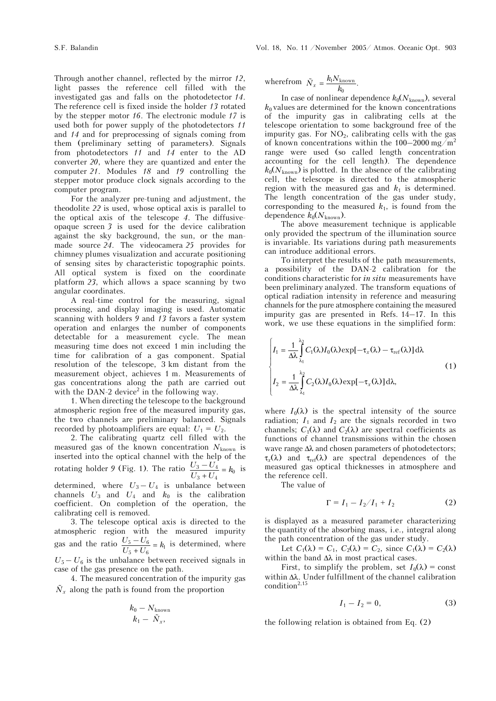Through another channel, reflected by the mirror *12*, light passes the reference cell filled with the investigated gas and falls on the photodetector *14*. The reference cell is fixed inside the holder *13* rotated by the stepper motor *16*. The electronic module *17* is used both for power supply of the photodetectors *11* and *14* and for preprocessing of signals coming from them (preliminary setting of parameters). Signals from photodetectors *11* and *14* enter to the AD converter *20*, where they are quantized and enter the computer *21*. Modules *18* and *19* controlling the stepper motor produce clock signals according to the computer program.

For the analyzer pre-tuning and adjustment, the theodolite *22* is used, whose optical axis is parallel to the optical axis of the telescope *4*. The diffusiveopaque screen *3* is used for the device calibration against the sky background, the sun, or the manmade source *24*. The videocamera *25* provides for chimney plumes visualization and accurate positioning of sensing sites by characteristic topographic points. All optical system is fixed on the coordinate platform *23*, which allows a space scanning by two angular coordinates.

A real-time control for the measuring, signal processing, and display imaging is used. Automatic scanning with holders *9* and *13* favors a faster system operation and enlarges the number of components detectable for a measurement cycle. The mean measuring time does not exceed 1 min including the time for calibration of a gas component. Spatial resolution of the telescope, 3 km distant from the measurement object, achieves 1 m. Measurements of gas concentrations along the path are carried out with the DAN-2 device<sup>2</sup> in the following way.

1. When directing the telescope to the background atmospheric region free of the measured impurity gas, the two channels are preliminary balanced. Signals recorded by photoamplifiers are equal:  $U_1 = U_2$ .

2. The calibrating quartz cell filled with the measured gas of the known concentration  $N_{\text{known}}$  is inserted into the optical channel with the help of the rotating holder 9 (Fig. 1). The ratio  $\frac{C_3 - C_4}{U_3 + U_4} = k_0$  $\frac{U_3 - U_4}{U_3 + U_4} = k$  is determined, where  $U_3-U_4$  is unbalance between channels  $U_3$  and  $U_4$  and  $k_0$  is the calibration coefficient. On completion of the operation, the

calibrating cell is removed. 3. The telescope optical axis is directed to the atmospheric region with the measured impurity gas and the ratio  $\frac{U_5 - U_6}{U_5 + U_6} = k_1$  $\frac{U_5 - U_6}{U_5 + U_6} = k$ is determined, where

 $U_5 - U_6$  is the unbalance between received signals in case of the gas presence on the path.

4. The measured concentration of the impurity gas  $\tilde{N}_x$  along the path is found from the proportion

$$
\frac{k_0-N_{\mathrm{known}}}{k_1-\tilde{N}_x,}
$$

wherefrom  $\tilde{N}_x = \frac{R_1 N_{\text{known}}}{I}$  $\tilde{N}_x = \frac{k_1 N_{\text{known}}}{k_0}.$ 

In case of nonlinear dependence  $k_0(N_{\text{known}})$ , several  $k_0$  values are determined for the known concentrations of the impurity gas in calibrating cells at the telescope orientation to some background free of the impurity gas. For  $NO<sub>2</sub>$ , calibrating cells with the gas of known concentrations within the  $100-2000$  mg/m<sup>2</sup> range were used (so called length concentration accounting for the cell length). The dependence  $k_0(N_{known})$  is plotted. In the absence of the calibrating cell, the telescope is directed to the atmospheric region with the measured gas and  $k_1$  is determined. The length concentration of the gas under study, corresponding to the measured  $k_1$ , is found from the dependence  $k_0(N_{\text{known}})$ .

The above measurement technique is applicable only provided the spectrum of the illumination source is invariable. Its variations during path measurements can introduce additional errors.

To interpret the results of the path measurements, a possibility of the DAN-2 calibration for the conditions characteristic for *in situ* measurements have been preliminary analyzed. The transform equations of optical radiation intensity in reference and measuring channels for the pure atmosphere containing the measured impurity gas are presented in Refs. 14–17. In this work, we use these equations in the simplified form:

$$
\begin{cases}\nI_1 = \frac{1}{\Delta\lambda} \int_{\lambda_1}^{\lambda_2} C_1(\lambda) I_0(\lambda) \exp[-\tau_x(\lambda) - \tau_{\text{ref}}(\lambda)] d\lambda \\
I_2 = \frac{1}{\Delta\lambda} \int_{\lambda_1}^{\lambda_2} C_2(\lambda) I_0(\lambda) \exp[-\tau_x(\lambda)] d\lambda,\n\end{cases}
$$
\n(1)

where  $I_0(\lambda)$  is the spectral intensity of the source radiation;  $I_1$  and  $I_2$  are the signals recorded in two channels;  $C_1(\lambda)$  and  $C_2(\lambda)$  are spectral coefficients as functions of channel transmissions within the chosen wave range  $\Delta\lambda$  and chosen parameters of photodetectors;  $\tau_r(\lambda)$  and  $\tau_{ref}(\lambda)$  are spectral dependences of the measured gas optical thicknesses in atmosphere and the reference cell.

The value of

$$
\Gamma = I_1 - I_2/I_1 + I_2 \tag{2}
$$

is displayed as a measured parameter characterizing the quantity of the absorbing mass, i.e., integral along the path concentration of the gas under study.

Let  $C_1(\lambda) = C_1$ ,  $C_2(\lambda) = C_2$ , since  $C_1(\lambda) = C_2(\lambda)$ within the band  $\Delta\lambda$  in most practical cases.

First, to simplify the problem, set  $I_0(\lambda) = \text{const}$ within Δλ. Under fulfillment of the channel calibration  $condition<sup>2,15</sup>$ 

$$
I_1 - I_2 = 0,\t\t(3)
$$

the following relation is obtained from Eq. (2)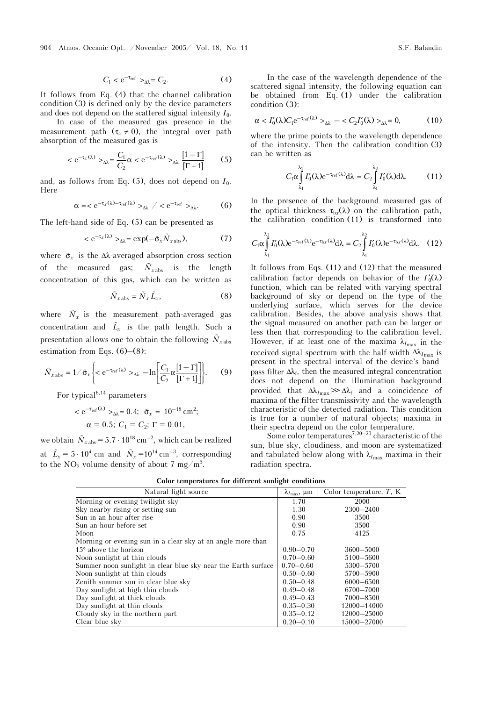$$
C_1 < e^{-\tau_{\text{ref}}} >_{\Delta\lambda} = C_2. \tag{4}
$$

It follows from Eq. (4) that the channel calibration condition (3) is defined only by the device parameters and does not depend on the scattered signal intensity  $I_0$ .

In case of the measured gas presence in the measurement path ( $\tau_x \neq 0$ ), the integral over path absorption of the measured gas is

$$
\langle e^{-\tau_x(\lambda)} \rangle_{\lambda \lambda} = \frac{C_1}{C_2} \alpha < e^{-\tau_{\text{ref}}(\lambda)} \rangle_{\lambda \lambda} \frac{[1-\Gamma]}{[\Gamma+1]} \tag{5}
$$

and, as follows from Eq.  $(5)$ , does not depend on  $I_0$ . Here

$$
\alpha = _{\Delta\lambda} / _{\Delta\lambda}.
$$
 (6)

The left-hand side of Eq. (5) can be presented as

$$
\langle e^{-\tau_x(\lambda)} \rangle_{\lambda} = \exp(-\tilde{\sigma}_x \tilde{N}_{x \text{abs}}), \tag{7}
$$

where  $\tilde{\sigma}_x$  is the  $\Delta\lambda$ -averaged absorption cross section of the measured gas;  $\tilde{N}_{x \text{ abs}}$  is the length concentration of this gas, which can be written as

$$
\tilde{N}_{x \text{ abs}} = \tilde{N}_x \tilde{L}_x, \tag{8}
$$

where  $\tilde{N}_x$  is the measurement path-averaged gas concentration and  $\tilde{L}_x$  is the path length. Such a presentation allows one to obtain the following  $\tilde{N}_{x \text{ abs}}$ estimation from Eqs.  $(6)$ – $(8)$ :

$$
\tilde{N}_{x \text{abs}} = 1/\tilde{\sigma}_x \left\{ < e^{-\tau_{\text{ref}}(\lambda)} >_{\Delta \lambda} -\ln \left[ \frac{C_1}{C_2} \alpha \frac{[1-\Gamma]}{[\Gamma + 1]} \right] \right\}.
$$
 (9)

For typical $6,14$  parameters

$$
_{\Delta\lambda} = 0.4; \ \tilde{\sigma}_x = 10^{-18} \text{ cm}^2;
$$
  
 $\alpha = 0.5; C_1 = C_2; \Gamma = 0.01,$ 

we obtain  $\tilde{N}_{\text{xabs}} = 5.7 \cdot 10^{18} \text{ cm}^{-2}$ , which can be realized at  $\tilde{L}_x = 5 \cdot 10^4$  cm and  $\tilde{N}_x = 10^{14}$  cm<sup>-3</sup>, corresponding to the NO<sub>2</sub> volume density of about 7 mg/m<sup>3</sup>.

In the case of the wavelength dependence of the scattered signal intensity, the following equation can be obtained from Eq. (1) under the calibration condition (3):

$$
\alpha < I_0'(\lambda)C_1e^{-\tau_{ref}(\lambda)} >_{\Delta\lambda} - _{\Delta\lambda} = 0,
$$
\n(10)

where the prime points to the wavelength dependence of the intensity. Then the calibration condition (3) can be written as

$$
C_1 \alpha \int_{\lambda_1}^{\lambda_2} I_0'(\lambda) e^{-\tau_{\text{ref}}(\lambda)} d\lambda = C_2 \int_{\lambda_1}^{\lambda_2} I_0'(\lambda) d\lambda. \tag{11}
$$

In the presence of the background measured gas of the optical thickness  $\tau_{bx}(\lambda)$  on the calibration path, the calibration condition (11) is transformed into

$$
C_1\alpha \int_{\lambda_1}^{\lambda_2} I'_0(\lambda) e^{-\tau_{\text{ref}}(\lambda)} e^{-\tau_{\text{bx}}(\lambda)} d\lambda = C_2 \int_{\lambda_1}^{\lambda_2} I'_0(\lambda) e^{-\tau_{\text{bx}}(\lambda)} d\lambda. \quad (12)
$$

It follows from Eqs. (11) and (12) that the measured calibration factor depends on behavior of the  $I_0'(\lambda)$ function, which can be related with varying spectral background of sky or depend on the type of the underlying surface, which serves for the device calibration. Besides, the above analysis shows that the signal measured on another path can be larger or less then that corresponding to the calibration level. However, if at least one of the maxima  $\lambda_{I_{\text{max}}}$  in the received signal spectrum with the half-width  $\Delta\lambda_{I_{\text{max}}}$  is present in the spectral interval of the device's bandpass filter  $\Delta \lambda_f$ , then the measured integral concentration does not depend on the illumination background provided that  $\Delta\lambda_{I_{\text{max}}} \gg \Delta\lambda_f$  and a coincidence of maxima of the filter transmissivity and the wavelength characteristic of the detected radiation. This condition is true for a number of natural objects; maxima in their spectra depend on the color temperature.

Some color temperatures<sup>7,20–23</sup> characteristic of the sun, blue sky, cloudiness, and moon are systematized and tabulated below along with  $\lambda_{I_{\text{max}}}$  maxima in their radiation spectra.

| Natural light source                                          | $\lambda_{I_{\rm max}}, \mu$ m | Color temperature, $T$ , K |
|---------------------------------------------------------------|--------------------------------|----------------------------|
| Morning or evening twilight sky                               | 1.70                           | 2000                       |
| Sky nearby rising or setting sun                              | 1.30                           | $2300 - 2400$              |
| Sun in an hour after rise                                     | 0.90                           | 3500                       |
| Sun an hour before set                                        | 0.90                           | 3500                       |
| Moon                                                          | 0.75                           | 4125                       |
| Morning or evening sun in a clear sky at an angle more than   |                                |                            |
| $15^\circ$ above the horizon                                  | $0.90 - 0.70$                  | $3600 - 5000$              |
| Noon sunlight at thin clouds                                  | $0.70 - 0.60$                  | $5100 - 5600$              |
| Summer noon sunlight in clear blue sky near the Earth surface | $0.70 - 0.60$                  | 5300-5700                  |
| Noon sunlight at thin clouds                                  | $0.50 - 0.60$                  | 5700-5900                  |
| Zenith summer sun in clear blue sky                           | $0.50 - 0.48$                  | $6000 - 6500$              |
| Day sunlight at high thin clouds                              | $0.49 - 0.48$                  | 6700-7000                  |
| Day sunlight at thick clouds                                  | $0.49 - 0.43$                  | 7000-8500                  |
| Day sunlight at thin clouds                                   | $0.35 - 0.30$                  | 12000-14000                |
| Cloudy sky in the northern part                               | $0.35 - 0.12$                  | 12000 - 25000              |
| Clear blue sky                                                | $0.20 - 0.10$                  | 15000-27000                |

**Color temperatures for different sunlight conditions**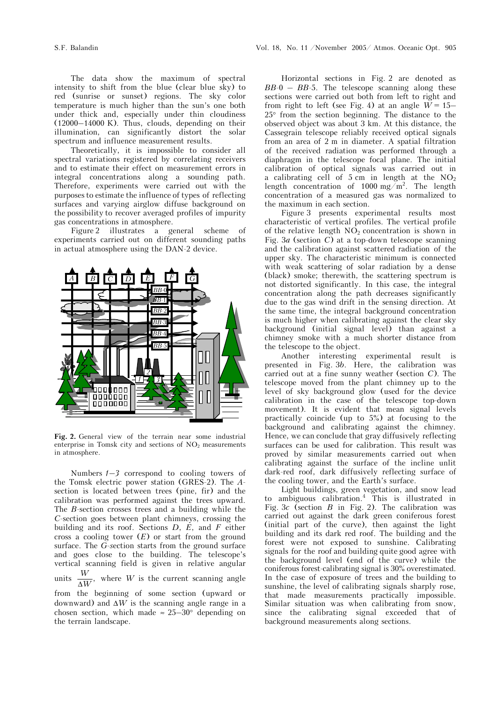The data show the maximum of spectral intensity to shift from the blue (clear blue sky) to red (sunrise or sunset) regions. The sky color temperature is much higher than the sun's one both under thick and, especially under thin cloudiness (12000–14000 K). Thus, clouds, depending on their illumination, can significantly distort the solar spectrum and influence measurement results.

Theoretically, it is impossible to consider all spectral variations registered by correlating receivers and to estimate their effect on measurement errors in integral concentrations along a sounding path. Therefore, experiments were carried out with the purposes to estimate the influence of types of reflecting surfaces and varying airglow diffuse background on the possibility to recover averaged profiles of impurity gas concentrations in atmosphere.

Figure 2 illustrates a general scheme of experiments carried out on different sounding paths in actual atmosphere using the DAN-2 device.



Fig. 2. General view of the terrain near some industrial enterprise in Tomsk city and sections of  $NO<sub>2</sub>$  measurements in atmosphere.

Numbers *1–3* correspond to cooling towers of the Tomsk electric power station (GRES-2). The *A*section is located between trees (pine, fir) and the calibration was performed against the trees upward. The *B*-section crosses trees and a building while the *C*-section goes between plant chimneys, crossing the building and its roof. Sections *D*, *E*, and *F* either cross a cooling tower (*E*) or start from the ground surface. The *G-s*ection starts from the ground surface and goes close to the building. The telescope's vertical scanning field is given in relative angular

units  $\frac{W}{\Delta W}$ , where *W* is the current scanning angle

from the beginning of some section (upward or downward) and  $\Delta W$  is the scanning angle range in a chosen section, which made  $\approx 25-30^{\circ}$  depending on the terrain landscape.

Horizontal sections in Fig. 2 are denoted as  $BB-0 - BB-5$ . The telescope scanning along these sections were carried out both from left to right and from right to left (see Fig. 4) at an angle  $W = 15$ – 25° from the section beginning. The distance to the observed object was about 3 km. At this distance, the Cassegrain telescope reliably received optical signals from an area of 2 m in diameter. A spatial filtration of the received radiation was performed through a diaphragm in the telescope focal plane. The initial calibration of optical signals was carried out in a calibrating cell of 5 cm in length at the  $NO<sub>2</sub>$ length concentration of 1000 mg/m<sup>2</sup>. The length concentration of a measured gas was normalized to the maximum in each section.

Figure 3 presents experimental results most characteristic of vertical profiles. The vertical profile of the relative length  $NO<sub>2</sub>$  concentration is shown in Fig. 3*a* (section *C*) at a top-down telescope scanning and the calibration against scattered radiation of the upper sky. The characteristic minimum is connected with weak scattering of solar radiation by a dense (black) smoke; therewith, the scattering spectrum is not distorted significantly. In this case, the integral concentration along the path decreases significantly due to the gas wind drift in the sensing direction. At the same time, the integral background concentration is much higher when calibrating against the clear sky background (initial signal level) than against a chimney smoke with a much shorter distance from the telescope to the object.

Another interesting experimental result is presented in Fig. 3*b*. Here, the calibration was carried out at a fine sunny weather (section *C*). The telescope moved from the plant chimney up to the level of sky background glow (used for the device calibration in the case of the telescope top-down movement). It is evident that mean signal levels practically coincide (up to 5%) at focusing to the background and calibrating against the chimney. Hence, we can conclude that gray diffusively reflecting surfaces can be used for calibration. This result was proved by similar measurements carried out when calibrating against the surface of the incline unlit dark-red roof, dark diffusively reflecting surface of the cooling tower, and the Earth's surface.

Light buildings, green vegetation, and snow lead to ambiguous calibration.4 This is illustrated in Fig. 3*c* (section *B* in Fig. 2). The calibration was carried out against the dark green coniferous forest (initial part of the curve), then against the light building and its dark red roof. The building and the forest were not exposed to sunshine. Calibrating signals for the roof and building quite good agree with the background level (end of the curve) while the coniferous forest-calibrating signal is 30% overestimated. In the case of exposure of trees and the building to sunshine, the level of calibrating signals sharply rose, that made measurements practically impossible. Similar situation was when calibrating from snow, since the calibrating signal exceeded that of background measurements along sections.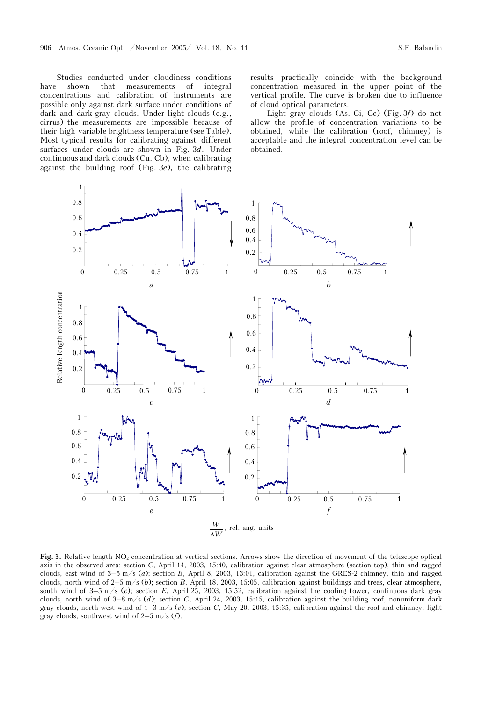Studies conducted under cloudiness conditions have shown that measurements of integral concentrations and calibration of instruments are possible only against dark surface under conditions of dark and dark-gray clouds. Under light clouds (e.g., cirrus) the measurements are impossible because of their high variable brightness temperature (see Table). Most typical results for calibrating against different surfaces under clouds are shown in Fig. 3*d*. Under continuous and dark clouds (Cu, Cb), when calibrating against the building roof (Fig. 3*e*), the calibrating results practically coincide with the background concentration measured in the upper point of the vertical profile. The curve is broken due to influence of cloud optical parameters.

Light gray clouds (Às, Ci, Cc) (Fig. 3*f*) do not allow the profile of concentration variations to be obtained, while the calibration (roof, chimney) is acceptable and the integral concentration level can be obtained.



**Fig. 3.** Relative length NO2 concentration at vertical sections. Arrows show the direction of movement of the telescope optical axis in the observed area: section *C*, April 14, 2003, 15:40, calibration against clear atmosphere (section top), thin and ragged clouds, east wind of 3–5 m/s (*a*); section *B*, April 8, 2003, 13:01, calibration against the GRES-2 chimney, thin and ragged clouds, north wind of 2–5 m/s (*b*); section *B*, April 18, 2003, 15:05, calibration against buildings and trees, clear atmosphere, south wind of  $3-5$  m/s (c); section *E*, April 25, 2003, 15:52, calibration against the cooling tower, continuous dark gray clouds, north wind of 3–8 m/s (*d*); section *C*, April 24, 2003, 15:15, calibration against the building roof, nonuniform dark gray clouds, north-west wind of 1–3 m/s (*e*); section *C*, May 20, 2003, 15:35, calibration against the roof and chimney, light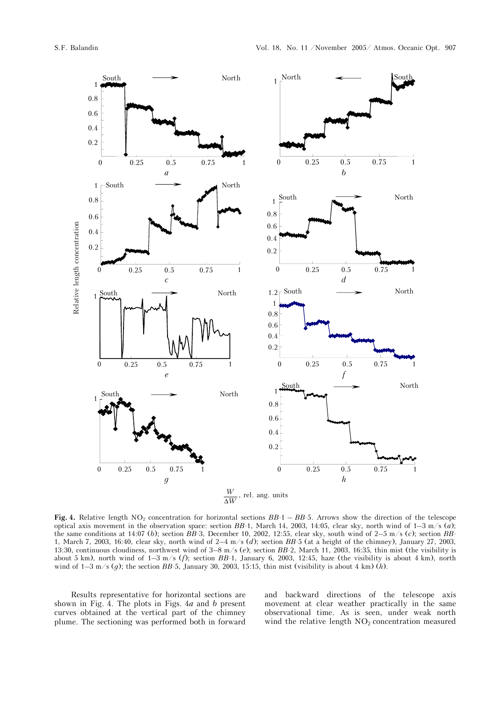

**Fig. 4.** Relative length  $NO_2$  concentration for horizontal sections  $BB-1 - BB-5$ . Arrows show the direction of the telescope optical axis movement in the observation space: section *BB*-1, March 14, 2003, 14:05, clear sky, north wind of  $1-3$  m/s (*a*); the same conditions at 14:07 (*b*); section *BB*-3, December 10, 2002, 12:55, clear sky, south wind of 2–5 m/s (*c*); section *BB*-1, March 7, 2003, 16:40, clear sky, north wind of 2–4 m/s (*d*); section *BB*-5 (at a height of the chimney), January 27, 2003, 13:30, continuous cloudiness, northwest wind of 3–8 m/s (*e*); section *BB*-2, March 11, 2003, 16:35, thin mist (the visibility is about 5 km), north wind of 1–3 m/s (*f*); section *BB*-1, January 6, 2003, 12:45, haze (the visibility is about 4 km), north wind of  $1-3$  m/s (g); the section *BB*-5, January 30, 2003, 15:15, thin mist (visibility is about 4 km) (*h*).

Results representative for horizontal sections are shown in Fig. 4. The plots in Figs. 4*a* and *b* present curves obtained at the vertical part of the chimney plume. The sectioning was performed both in forward

and backward directions of the telescope axis movement at clear weather practically in the same observational time. As is seen, under weak north wind the relative length  $NO<sub>2</sub>$  concentration measured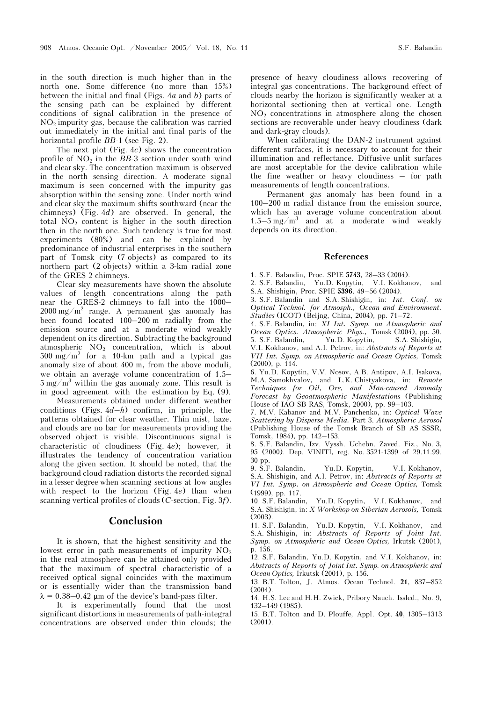in the south direction is much higher than in the north one. Some difference (no more than 15%) between the initial and final (Figs. 4*a* and *b*) parts of the sensing path can be explained by different conditions of signal calibration in the presence of NO2 impurity gas, because the calibration was carried out immediately in the initial and final parts of the horizontal profile *BB*-1 (see Fig. 2).

The next plot (Fig. 4*c*) shows the concentration profile of  $NO<sub>2</sub>$  in the *BB*-3 section under south wind and clear sky. The concentration maximum is observed in the north sensing direction. A moderate signal maximum is seen concerned with the impurity gas absorption within the sensing zone. Under north wind and clear sky the maximum shifts southward (near the chimneys) (Fig. 4*d*) are observed. In general, the total  $NO<sub>2</sub>$  content is higher in the south direction then in the north one. Such tendency is true for most experiments (80%) and can be explained by predominance of industrial enterprises in the southern part of Tomsk city (7 objects) as compared to its northern part (2 objects) within a 3-km radial zone of the GRES-2 chimneys.

Clear sky measurements have shown the absolute values of length concentrations along the path near the GRES-2 chimneys to fall into the 1000–  $2000 \text{ mg/m}^2$  range. A permanent gas anomaly has been found located 100–200 m radially from the emission source and at a moderate wind weakly dependent on its direction. Subtracting the background atmospheric  $NO<sub>2</sub>$  concentration, which is about 500 mg/m<sup>2</sup> for a 10-km path and a typical gas anomaly size of about 400 m, from the above moduli, we obtain an average volume concentration of 1.5–  $5 \text{ mg/m}^3$  within the gas anomaly zone. This result is in good agreement with the estimation by Eq. (9).

Measurements obtained under different weather conditions (Figs. 4*d*–*h*) confirm, in principle, the patterns obtained for clear weather. Thin mist, haze, and clouds are no bar for measurements providing the observed object is visible. Discontinuous signal is characteristic of cloudiness (Fig. 4*e*); however, it illustrates the tendency of concentration variation along the given section. It should be noted, that the background cloud radiation distorts the recorded signal in a lesser degree when scanning sections at low angles with respect to the horizon (Fig. 4*e*) than when scanning vertical profiles of clouds (*C*-section, Fig. 3*f*).

### **Conclusion**

It is shown, that the highest sensitivity and the lowest error in path measurements of impurity  $NO<sub>2</sub>$ in the real atmosphere can be attained only provided that the maximum of spectral characteristic of a received optical signal coincides with the maximum or is essentially wider than the transmission band  $\lambda = 0.38 - 0.42$  μm of the device's band-pass filter.

It is experimentally found that the most significant distortions in measurements of path-integral concentrations are observed under thin clouds; the presence of heavy cloudiness allows recovering of integral gas concentrations. The background effect of clouds nearby the horizon is significantly weaker at a horizontal sectioning then at vertical one. Length  $NO<sub>2</sub>$  concentrations in atmosphere along the chosen sections are recoverable under heavy cloudiness (dark and dark-gray clouds).

When calibrating the DAN-2 instrument against different surfaces, it is necessary to account for their illumination and reflectance. Diffusive unlit surfaces are most acceptable for the device calibration while the fine weather or heavy cloudiness – for path measurements of length concentrations.

Permanent gas anomaly has been found in a 100–200 m radial distance from the emission source, which has an average volume concentration about  $1.5-5$  mg/m<sup>3</sup> and at a moderate wind weakly depends on its direction.

#### **References**

1. S.F. Balandin, Proc. SPIE **5743**, 28–33 (2004).

2. S.F. Balandin, Yu.D. Kopytin, V.I. Kokhanov, and S.A. Shishigin, Proñ. SPIE **5396**, 49–56 (2004).

3. S.F. Balandin and S.A. Shishigin, in: *Int. Conf. on Optical Technol. for Atmosph., Ocean and Environment. Studies* (ICOT) (Beijng, China, 2004), pp. 71–72.

4. S.F. Balandin, in: *XI Int. Symp. on Atmospheric and Ocean Optics. Atmospheric Phys.,* Tomsk (2004), pp. 50. 5. S.F. Balandin, Yu.D. Kopytin, S.A. Shishigin, V.I. Kokhanov, and A.I. Petrov, in: *Abstracts of Reports at VII Int. Symp. on Atmospheric and Ocean Optics,* Tomsk (2000), p. 114.

6. Yu.D. Kopytin, V.V. Nosov, A.B. Antipov, A.I. Isakova, M.A. Samokhvalov, and L.K. Chistyakova, in: *Remote Techniques for Oil, Ore, and Man-caused Anomaly Forecast by Geoatmospheric Manifestations* (Publishing House of IAO SB RAS, Tomsk, 2000), pp. 99–103.

7. M.V. Kabanov and M.V. Panchenko, in: *Optical Wave Scattering by Disperse Media.* Part 3. *Atmospheric Aerosol*  (Publishing House of the Tomsk Branch of SB AS SSSR, Tomsk, 1984), pp. 142–153.

8. S.F. Balandin, Izv. Vyssh. Uchebn. Zaved. Fiz., No. 3, 95 (2000). Dep. VINITI, reg. No. 3521-1399 of 29.11.99. 30 pp.

9. S.F. Balandin, Yu.D. Kopytin, V.I. Kokhanov, S.A. Shishigin, and A.I. Petrov, in: *Abstracts of Reports at VI Int. Symp. on Atmospheric and Ocean Optics,* Tomsk (1999), pp. 117.

10. S.F. Balandin, Yu.D. Kopytin, V.I. Kokhanov, and S.A. Shishigin, in: *X Workshop on Siberian Aerosols,* Tomsk (2003).

11. S.F. Balandin, Yu.D. Kopytin, V.I. Kokhanov, and S.A. Shishigin, in: *Abstracts of Reports of Joint Int. Symp. on Atmospheric and Ocean Optics,* Irkutsk (2001), p. 156.

12. S.F. Balandin, Yu.D. Kopytin, and V.I. Kokhanov, in: *Abstracts of Reports of Joint Int. Symp. on Àtmospheric and Ocean Optics,* Irkutsk (2001), p. 156.

13. B.T. Tolton, J. Atmos. Ocean Technol. **21**, 837–852  $(2004)$ 

14. H.S. Lee and H.H. Zwick, Pribory Nauch. Issled., No. 9, 132–149 (1985).

15. B.T. Tolton and D. Plouffe, Appl. Opt. **40**, 1305–1313 (2001).